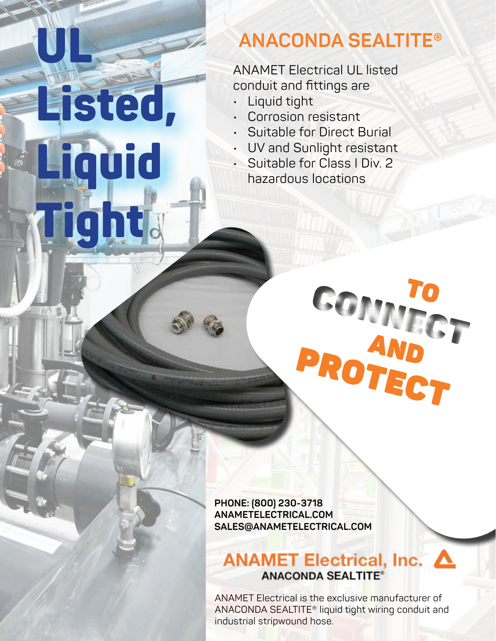# **ANACONDA SEALTITE®**

ANAMET Electrical UL listed conduit and fittings are

Liquid tight

**ULL** 

Listed,

Liquid

ght

- Corrosion resistant
- Suitable for Direct Burial
- UV and Sunlight resistant
- Suitable for Class I Div. 2 hazardous locations

**PHONE: (800) 230-3718 ANAMETELECTRICAL.COM SALES@ANAMETELECTRICAL.COM**

### ANAMET Electrical, Inc. △ **ANACONDA SEALTITE®**

COMPOTED PROTECT

ANAMET Electrical is the exclusive manufacturer of ANACONDA SEALTITE® liquid tight wiring conduit and industrial stripwound hose.